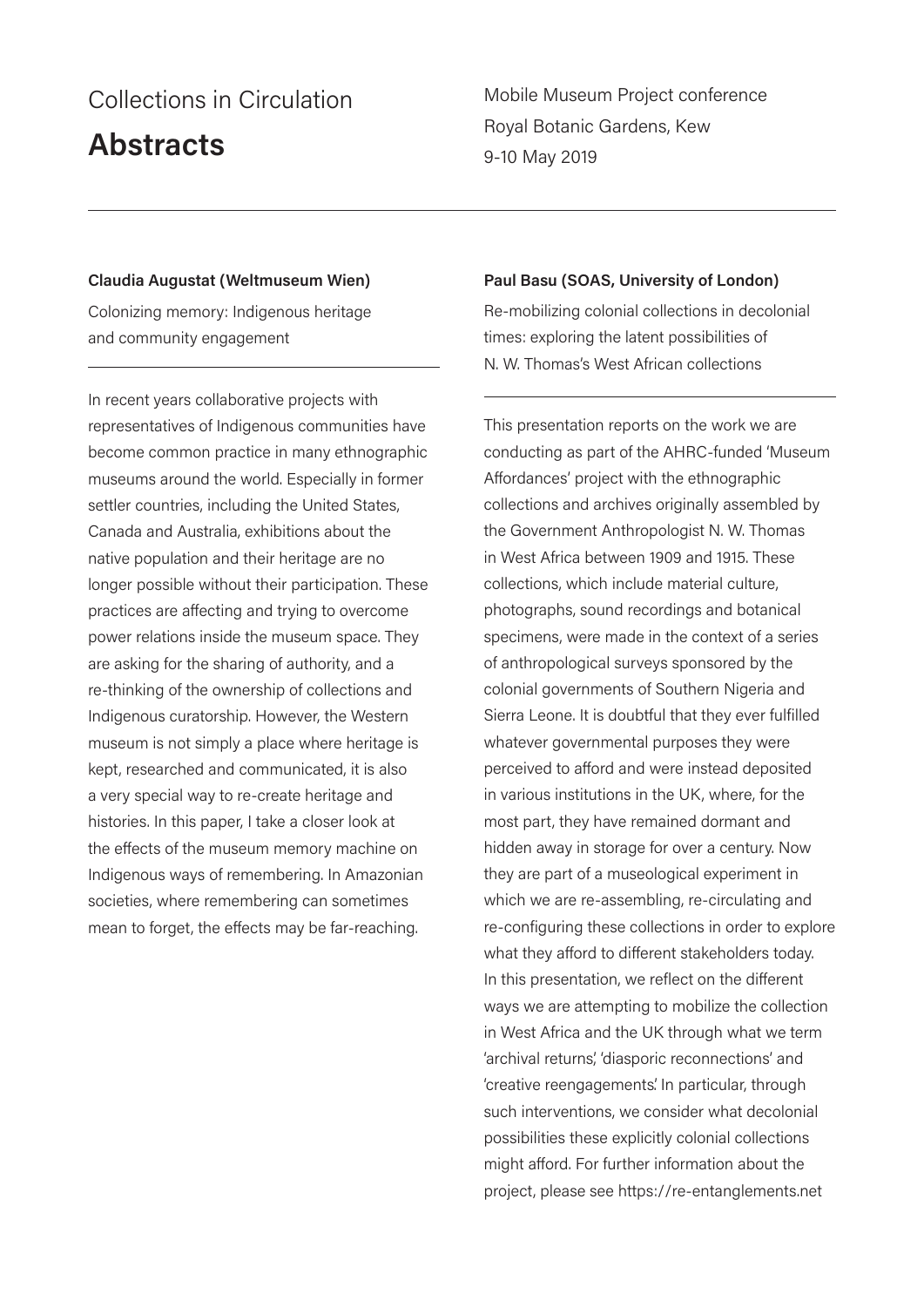# Collections in Circulation

# **Abstracts**

Mobile Museum Project conference Royal Botanic Gardens, Kew 9-10 May 2019

### **Claudia Augustat (Weltmuseum Wien)**

Colonizing memory: Indigenous heritage and community engagement

In recent years collaborative projects with representatives of Indigenous communities have become common practice in many ethnographic museums around the world. Especially in former settler countries, including the United States, Canada and Australia, exhibitions about the native population and their heritage are no longer possible without their participation. These practices are affecting and trying to overcome power relations inside the museum space. They are asking for the sharing of authority, and a re-thinking of the ownership of collections and Indigenous curatorship. However, the Western museum is not simply a place where heritage is kept, researched and communicated, it is also a very special way to re-create heritage and histories. In this paper, I take a closer look at the effects of the museum memory machine on Indigenous ways of remembering. In Amazonian societies, where remembering can sometimes mean to forget, the effects may be far-reaching.

### **Paul Basu (SOAS, University of London)**

Re-mobilizing colonial collections in decolonial times: exploring the latent possibilities of N. W. Thomas's West African collections

This presentation reports on the work we are conducting as part of the AHRC-funded 'Museum Affordances' project with the ethnographic collections and archives originally assembled by the Government Anthropologist N. W. Thomas in West Africa between 1909 and 1915. These collections, which include material culture, photographs, sound recordings and botanical specimens, were made in the context of a series of anthropological surveys sponsored by the colonial governments of Southern Nigeria and Sierra Leone. It is doubtful that they ever fulfilled whatever governmental purposes they were perceived to afford and were instead deposited in various institutions in the UK, where, for the most part, they have remained dormant and hidden away in storage for over a century. Now they are part of a museological experiment in which we are re-assembling, re-circulating and re-configuring these collections in order to explore what they afford to different stakeholders today. In this presentation, we reflect on the different ways we are attempting to mobilize the collection in West Africa and the UK through what we term 'archival returns', 'diasporic reconnections' and 'creative reengagements'. In particular, through such interventions, we consider what decolonial possibilities these explicitly colonial collections might afford. For further information about the project, please see https://re-entanglements.net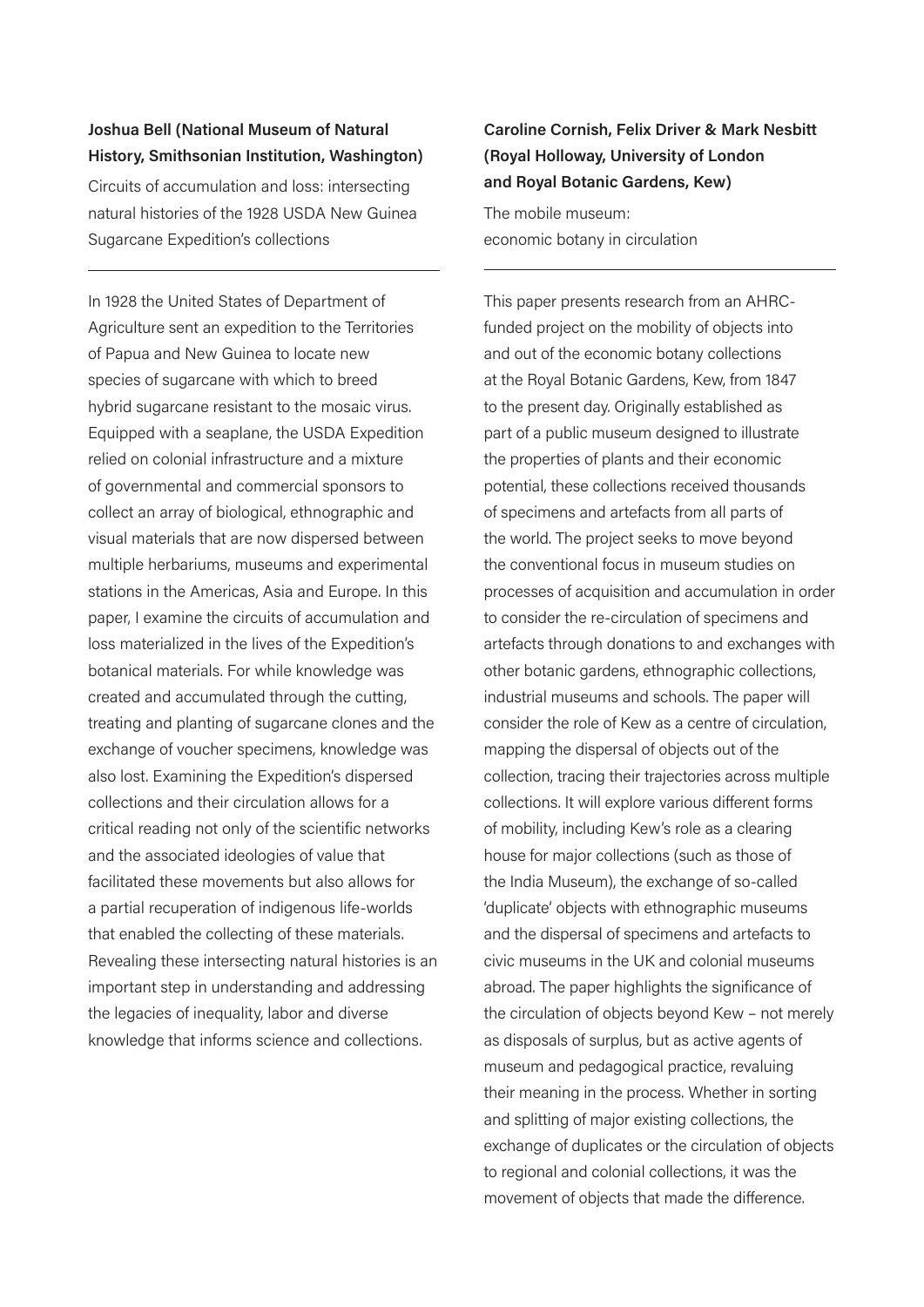# **Joshua Bell (National Museum of Natural History, Smithsonian Institution, Washington)**

Circuits of accumulation and loss: intersecting natural histories of the 1928 USDA New Guinea Sugarcane Expedition's collections

In 1928 the United States of Department of Agriculture sent an expedition to the Territories of Papua and New Guinea to locate new species of sugarcane with which to breed hybrid sugarcane resistant to the mosaic virus. Equipped with a seaplane, the USDA Expedition relied on colonial infrastructure and a mixture of governmental and commercial sponsors to collect an array of biological, ethnographic and visual materials that are now dispersed between multiple herbariums, museums and experimental stations in the Americas, Asia and Europe. In this paper, I examine the circuits of accumulation and loss materialized in the lives of the Expedition's botanical materials. For while knowledge was created and accumulated through the cutting, treating and planting of sugarcane clones and the exchange of voucher specimens, knowledge was also lost. Examining the Expedition's dispersed collections and their circulation allows for a critical reading not only of the scientific networks and the associated ideologies of value that facilitated these movements but also allows for a partial recuperation of indigenous life-worlds that enabled the collecting of these materials. Revealing these intersecting natural histories is an important step in understanding and addressing the legacies of inequality, labor and diverse knowledge that informs science and collections.

# **Caroline Cornish, Felix Driver & Mark Nesbitt (Royal Holloway, University of London and Royal Botanic Gardens, Kew)**

The mobile museum: economic botany in circulation

This paper presents research from an AHRCfunded project on the mobility of objects into and out of the economic botany collections at the Royal Botanic Gardens, Kew, from 1847 to the present day. Originally established as part of a public museum designed to illustrate the properties of plants and their economic potential, these collections received thousands of specimens and artefacts from all parts of the world. The project seeks to move beyond the conventional focus in museum studies on processes of acquisition and accumulation in order to consider the re-circulation of specimens and artefacts through donations to and exchanges with other botanic gardens, ethnographic collections, industrial museums and schools. The paper will consider the role of Kew as a centre of circulation, mapping the dispersal of objects out of the collection, tracing their trajectories across multiple collections. It will explore various different forms of mobility, including Kew's role as a clearing house for major collections (such as those of the India Museum), the exchange of so-called 'duplicate' objects with ethnographic museums and the dispersal of specimens and artefacts to civic museums in the UK and colonial museums abroad. The paper highlights the significance of the circulation of objects beyond Kew – not merely as disposals of surplus, but as active agents of museum and pedagogical practice, revaluing their meaning in the process. Whether in sorting and splitting of major existing collections, the exchange of duplicates or the circulation of objects to regional and colonial collections, it was the movement of objects that made the difference.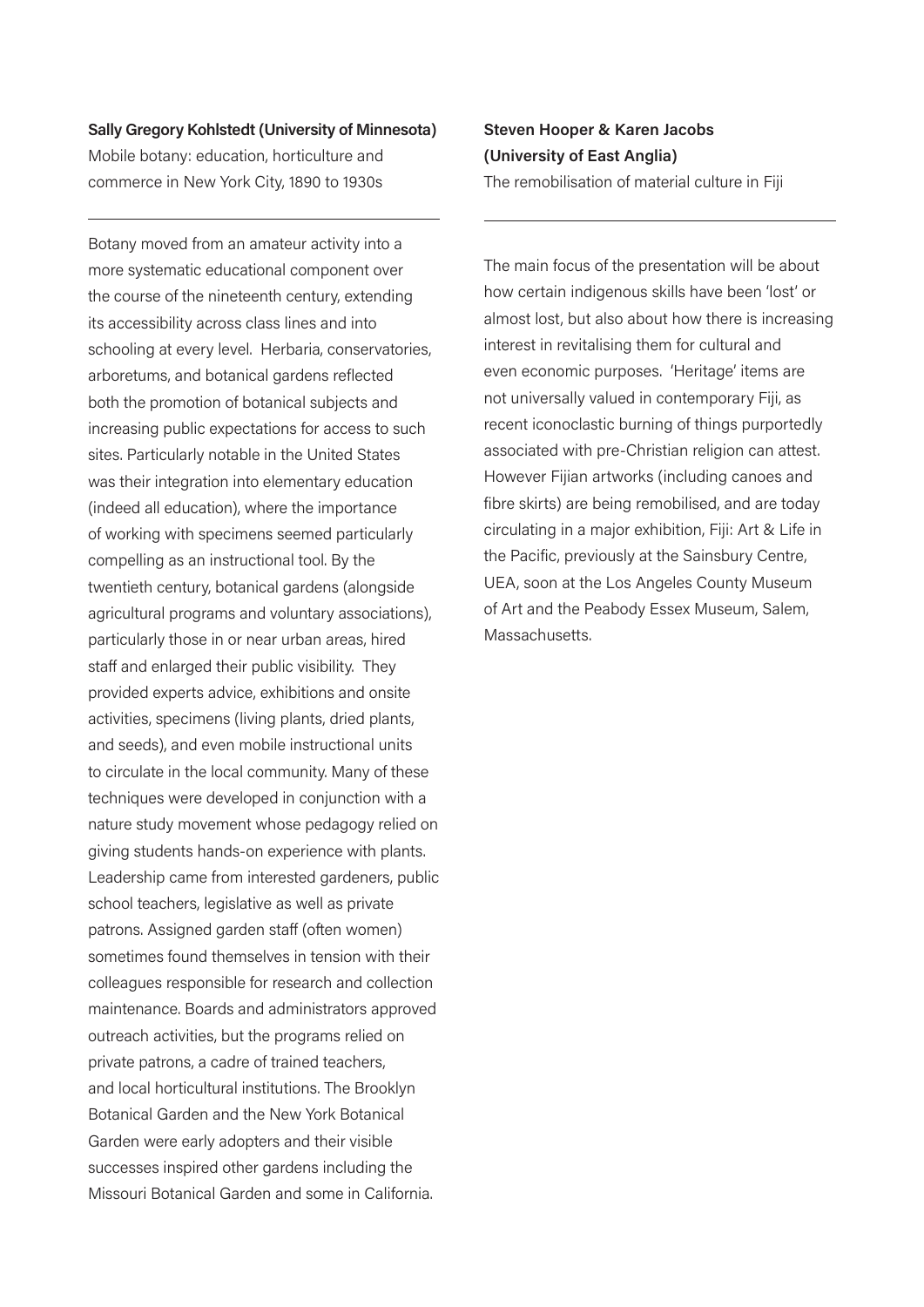# **Sally Gregory Kohlstedt (University of Minnesota)** Mobile botany: education, horticulture and commerce in New York City, 1890 to 1930s

Botany moved from an amateur activity into a more systematic educational component over the course of the nineteenth century, extending its accessibility across class lines and into schooling at every level. Herbaria, conservatories, arboretums, and botanical gardens reflected both the promotion of botanical subjects and increasing public expectations for access to such sites. Particularly notable in the United States was their integration into elementary education (indeed all education), where the importance of working with specimens seemed particularly compelling as an instructional tool. By the twentieth century, botanical gardens (alongside agricultural programs and voluntary associations), particularly those in or near urban areas, hired staff and enlarged their public visibility. They provided experts advice, exhibitions and onsite activities, specimens (living plants, dried plants, and seeds), and even mobile instructional units to circulate in the local community. Many of these techniques were developed in conjunction with a nature study movement whose pedagogy relied on giving students hands-on experience with plants. Leadership came from interested gardeners, public school teachers, legislative as well as private patrons. Assigned garden staff (often women) sometimes found themselves in tension with their colleagues responsible for research and collection maintenance. Boards and administrators approved outreach activities, but the programs relied on private patrons, a cadre of trained teachers, and local horticultural institutions. The Brooklyn Botanical Garden and the New York Botanical Garden were early adopters and their visible successes inspired other gardens including the Missouri Botanical Garden and some in California.

**Steven Hooper & Karen Jacobs (University of East Anglia)**  The remobilisation of material culture in Fiji

The main focus of the presentation will be about how certain indigenous skills have been 'lost' or almost lost, but also about how there is increasing interest in revitalising them for cultural and even economic purposes. 'Heritage' items are not universally valued in contemporary Fiji, as recent iconoclastic burning of things purportedly associated with pre-Christian religion can attest. However Fijian artworks (including canoes and fibre skirts) are being remobilised, and are today circulating in a major exhibition, Fiji: Art & Life in the Pacific, previously at the Sainsbury Centre, UEA, soon at the Los Angeles County Museum of Art and the Peabody Essex Museum, Salem, Massachusetts.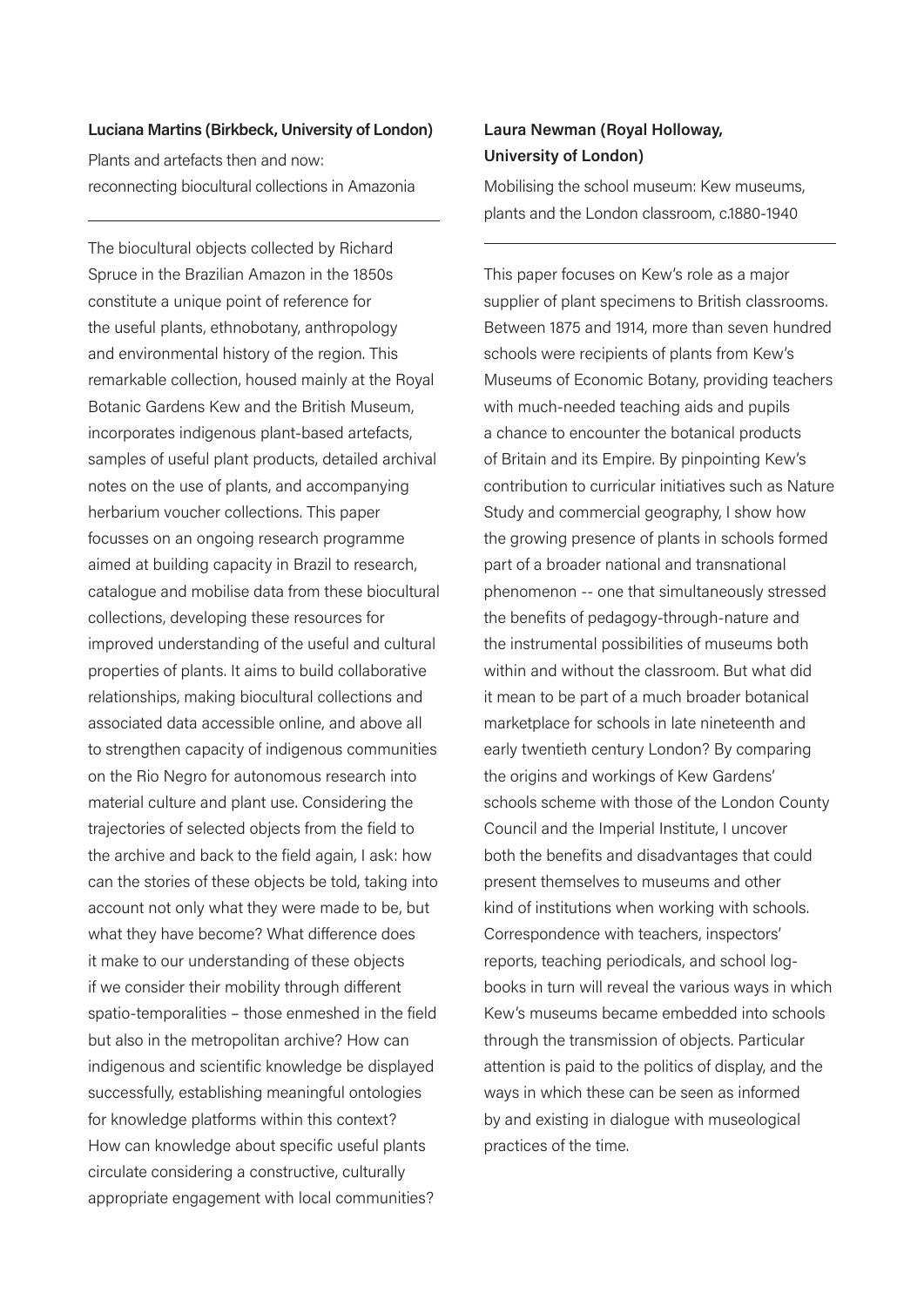#### **Luciana Martins (Birkbeck, University of London)**

Plants and artefacts then and now: reconnecting biocultural collections in Amazonia

The biocultural objects collected by Richard Spruce in the Brazilian Amazon in the 1850s constitute a unique point of reference for the useful plants, ethnobotany, anthropology and environmental history of the region. This remarkable collection, housed mainly at the Royal Botanic Gardens Kew and the British Museum, incorporates indigenous plant-based artefacts, samples of useful plant products, detailed archival notes on the use of plants, and accompanying herbarium voucher collections. This paper focusses on an ongoing research programme aimed at building capacity in Brazil to research, catalogue and mobilise data from these biocultural collections, developing these resources for improved understanding of the useful and cultural properties of plants. It aims to build collaborative relationships, making biocultural collections and associated data accessible online, and above all to strengthen capacity of indigenous communities on the Rio Negro for autonomous research into material culture and plant use. Considering the trajectories of selected objects from the field to the archive and back to the field again, I ask: how can the stories of these objects be told, taking into account not only what they were made to be, but what they have become? What difference does it make to our understanding of these objects if we consider their mobility through different spatio-temporalities – those enmeshed in the field but also in the metropolitan archive? How can indigenous and scientific knowledge be displayed successfully, establishing meaningful ontologies for knowledge platforms within this context? How can knowledge about specific useful plants circulate considering a constructive, culturally appropriate engagement with local communities?

## **Laura Newman (Royal Holloway, University of London)**

Mobilising the school museum: Kew museums, plants and the London classroom, c.1880-1940

This paper focuses on Kew's role as a major supplier of plant specimens to British classrooms. Between 1875 and 1914, more than seven hundred schools were recipients of plants from Kew's Museums of Economic Botany, providing teachers with much-needed teaching aids and pupils a chance to encounter the botanical products of Britain and its Empire. By pinpointing Kew's contribution to curricular initiatives such as Nature Study and commercial geography, I show how the growing presence of plants in schools formed part of a broader national and transnational phenomenon -- one that simultaneously stressed the benefits of pedagogy-through-nature and the instrumental possibilities of museums both within and without the classroom. But what did it mean to be part of a much broader botanical marketplace for schools in late nineteenth and early twentieth century London? By comparing the origins and workings of Kew Gardens' schools scheme with those of the London County Council and the Imperial Institute, I uncover both the benefits and disadvantages that could present themselves to museums and other kind of institutions when working with schools. Correspondence with teachers, inspectors' reports, teaching periodicals, and school logbooks in turn will reveal the various ways in which Kew's museums became embedded into schools through the transmission of objects. Particular attention is paid to the politics of display, and the ways in which these can be seen as informed by and existing in dialogue with museological practices of the time.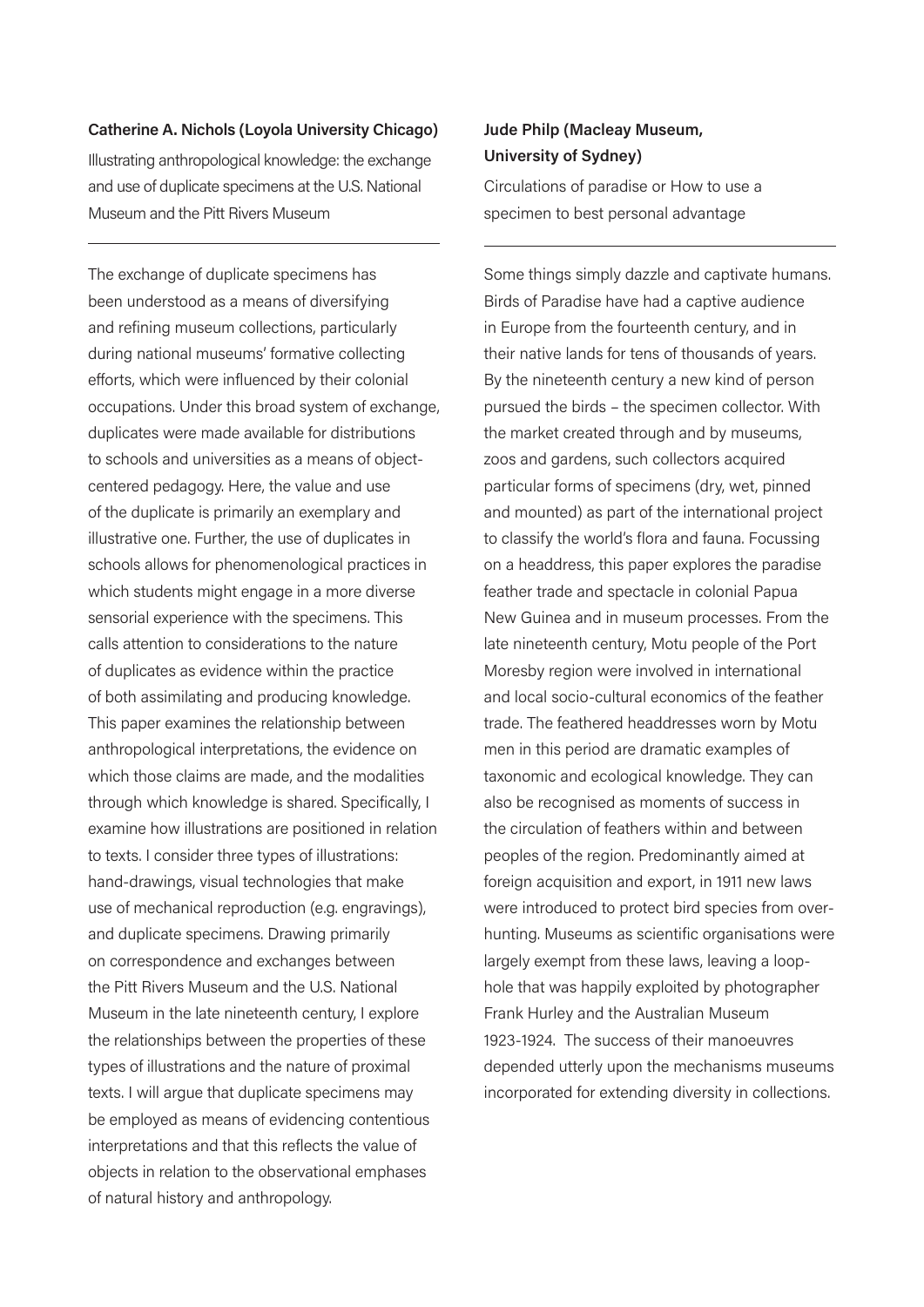#### **Catherine A. Nichols (Loyola University Chicago)**

Illustrating anthropological knowledge: the exchange and use of duplicate specimens at the U.S. National Museum and the Pitt Rivers Museum

The exchange of duplicate specimens has been understood as a means of diversifying and refining museum collections, particularly during national museums' formative collecting efforts, which were influenced by their colonial occupations. Under this broad system of exchange, duplicates were made available for distributions to schools and universities as a means of objectcentered pedagogy. Here, the value and use of the duplicate is primarily an exemplary and illustrative one. Further, the use of duplicates in schools allows for phenomenological practices in which students might engage in a more diverse sensorial experience with the specimens. This calls attention to considerations to the nature of duplicates as evidence within the practice of both assimilating and producing knowledge. This paper examines the relationship between anthropological interpretations, the evidence on which those claims are made, and the modalities through which knowledge is shared. Specifically, I examine how illustrations are positioned in relation to texts. I consider three types of illustrations: hand-drawings, visual technologies that make use of mechanical reproduction (e.g. engravings), and duplicate specimens. Drawing primarily on correspondence and exchanges between the Pitt Rivers Museum and the U.S. National Museum in the late nineteenth century, I explore the relationships between the properties of these types of illustrations and the nature of proximal texts. I will argue that duplicate specimens may be employed as means of evidencing contentious interpretations and that this reflects the value of objects in relation to the observational emphases of natural history and anthropology.

## **Jude Philp (Macleay Museum, University of Sydney)**

Circulations of paradise or How to use a specimen to best personal advantage

Some things simply dazzle and captivate humans. Birds of Paradise have had a captive audience in Europe from the fourteenth century, and in their native lands for tens of thousands of years. By the nineteenth century a new kind of person pursued the birds – the specimen collector. With the market created through and by museums, zoos and gardens, such collectors acquired particular forms of specimens (dry, wet, pinned and mounted) as part of the international project to classify the world's flora and fauna. Focussing on a headdress, this paper explores the paradise feather trade and spectacle in colonial Papua New Guinea and in museum processes. From the late nineteenth century, Motu people of the Port Moresby region were involved in international and local socio-cultural economics of the feather trade. The feathered headdresses worn by Motu men in this period are dramatic examples of taxonomic and ecological knowledge. They can also be recognised as moments of success in the circulation of feathers within and between peoples of the region. Predominantly aimed at foreign acquisition and export, in 1911 new laws were introduced to protect bird species from overhunting. Museums as scientific organisations were largely exempt from these laws, leaving a loophole that was happily exploited by photographer Frank Hurley and the Australian Museum 1923-1924. The success of their manoeuvres depended utterly upon the mechanisms museums incorporated for extending diversity in collections.